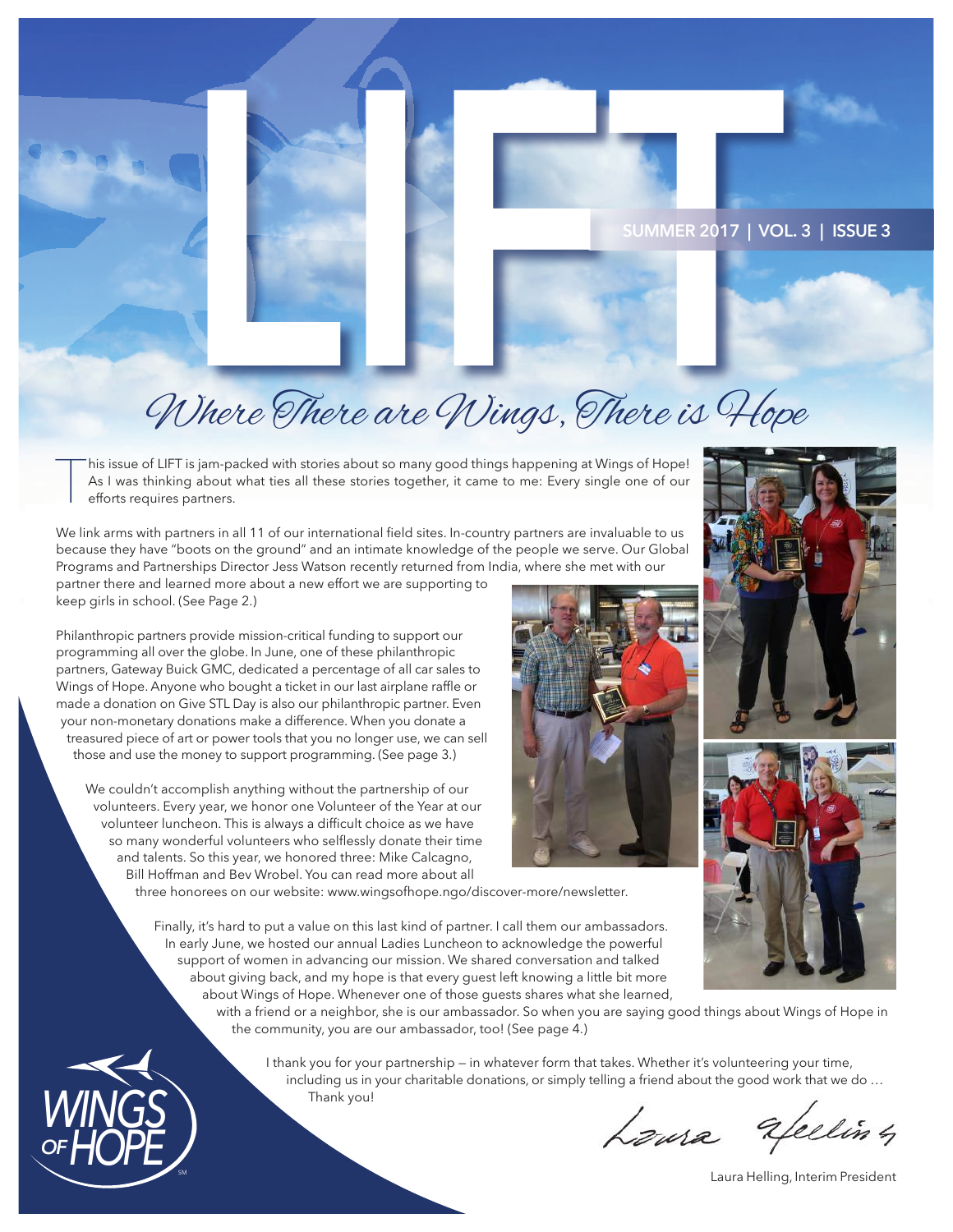

### **SUMMER 2017 | VOL. 3 | ISSUE 3**

# SUMMER 2017 | VOL.3<br>
SUMMER 2017 | VOL.3<br>
Where There are Wings, There is 46pe

T his issue of LIFT is jam-packed with stories about so many good things happening at Wings of Hope! As I was thinking about what ties all these stories together, it came to me: Every single one of our efforts requires partners.

We link arms with partners in all 11 of our international feld sites. In-country partners are invaluable to us because they have "boots on the ground" and an intimate knowledge of the people we serve. Our Global Programs and Partnerships Director Jess Watson recently returned from India, where she met with our

partner there and learned more about a new effort we are supporting to keep girls in school. (See Page 2.)

Philanthropic partners provide mission-critical funding to support our programming all over the globe. In June, one of these philanthropic partners, Gateway Buick GMC, dedicated a percentage of all car sales to Wings of Hope. Anyone who bought a ticket in our last airplane raffle or made a donation on Give STL Day is also our philanthropic partner. Even your non-monetary donations make a difference. When you donate a treasured piece of art or power tools that you no longer use, we can sell those and use the money to support programming. (See page 3.)

We couldn't accomplish anything without the partnership of our volunteers. Every year, we honor one Volunteer of the Year at our volunteer luncheon. This is always a difficult choice as we have so many wonderful volunteers who selfessly donate their time and talents. So this year, we honored three: Mike Calcagno, Bill Hoffman and Bev Wrobel. You can read more about all

three honorees on our website: www.wingsofhope.ngo/discover-more/newsletter.

Finally, it's hard to put a value on this last kind of partner. I call them our ambassadors. In early June, we hosted our annual Ladies Luncheon to acknowledge the powerful support of women in advancing our mission. We shared conversation and talked about giving back, and my hope is that every guest left knowing a little bit more about Wings of Hope. Whenever one of those guests shares what she learned,

with a friend or a neighbor, she is our ambassador. So when you are saying good things about Wings of Hope in the community, you are our ambassador, too! (See page 4.)

I thank you for your partnership — in whatever form that takes. Whether it's volunteering your time, including us in your charitable donations, or simply telling a friend about the good work that we do … Thank you!

Loura Efeeling





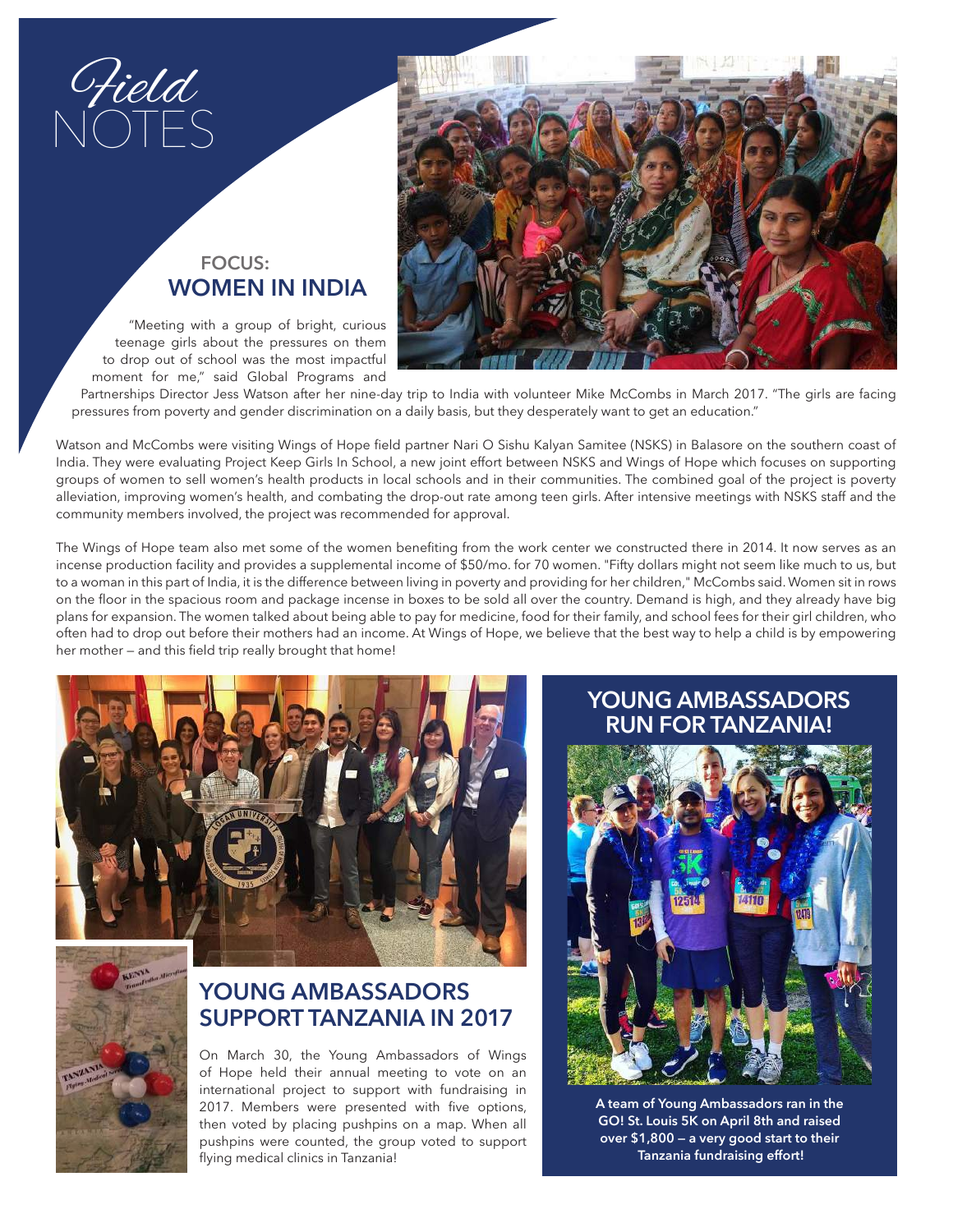Field NOTES

### **FOCUS: WOMEN IN INDIA**

"Meeting with a group of bright, curious teenage girls about the pressures on them to drop out of school was the most impactful moment for me," said Global Programs and



Partnerships Director Jess Watson after her nine-day trip to India with volunteer Mike McCombs in March 2017. "The girls are facing pressures from poverty and gender discrimination on a daily basis, but they desperately want to get an education."

Watson and McCombs were visiting Wings of Hope feld partner Nari O Sishu Kalyan Samitee (NSKS) in Balasore on the southern coast of India. They were evaluating Project Keep Girls In School, a new joint effort between NSKS and Wings of Hope which focuses on supporting groups of women to sell women's health products in local schools and in their communities. The combined goal of the project is poverty alleviation, improving women's health, and combating the drop-out rate among teen girls. After intensive meetings with NSKS staff and the community members involved, the project was recommended for approval.

The Wings of Hope team also met some of the women benefting from the work center we constructed there in 2014. It now serves as an incense production facility and provides a supplemental income of \$50/mo. for 70 women. "Fifty dollars might not seem like much to us, but to a woman in this part of India, it is the difference between living in poverty and providing for her children," McCombs said. Women sit in rows on the foor in the spacious room and package incense in boxes to be sold all over the country. Demand is high, and they already have big plans for expansion. The women talked about being able to pay for medicine, food for their family, and school fees for their girl children, who often had to drop out before their mothers had an income. At Wings of Hope, we believe that the best way to help a child is by empowering her mother - and this field trip really brought that home!





### **YOUNG AMBASSADORS SUPPORT TANZANIA IN 2017**

On March 30, the Young Ambassadors of Wings of Hope held their annual meeting to vote on an international project to support with fundraising in 2017. Members were presented with five options, then voted by placing pushpins on a map. When all pushpins were counted, the group voted to support flying medical clinics in Tanzania!

### **YOUNG AMBASSADORS RUN FOR TANZANIA!**



**A team of Young Ambassadors ran in the GO! St. Louis 5K on April 8th and raised over \$1,800 — a very good start to their Tanzania fundraising effort!**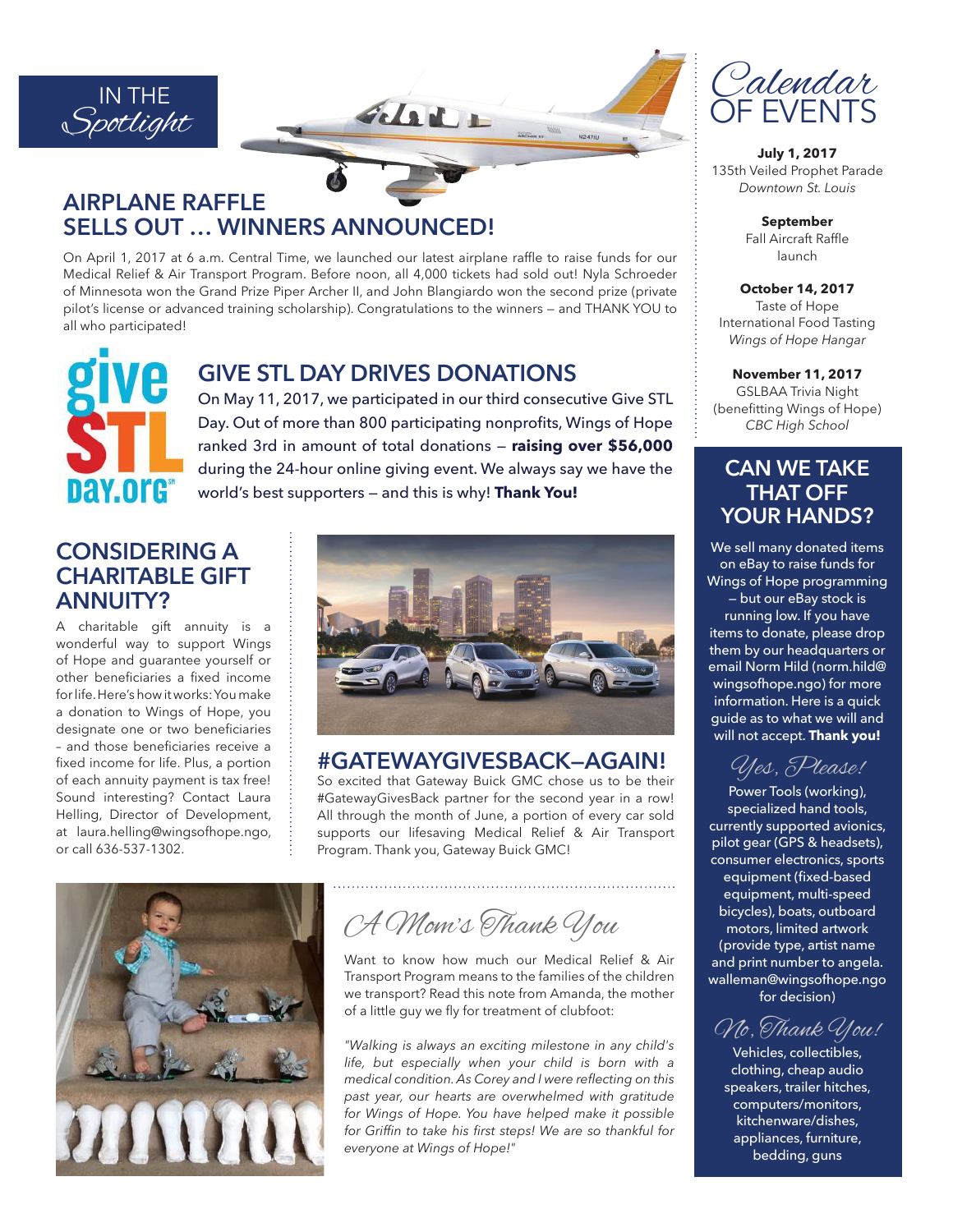

## **AIRPLANE RAFFLE SELLS OUT … WINNERS ANNOUNCED!**

On April 1, 2017 at 6 a.m. Central Time, we launched our latest airplane raffe to raise funds for our Medical Relief & Air Transport Program. Before noon, all 4,000 tickets had sold out! Nyla Schroeder of Minnesota won the Grand Prize Piper Archer II, and John Blangiardo won the second prize (private pilot's license or advanced training scholarship). Congratulations to the winners — and THANK YOU to all who participated!



### **GIVE STL DAY DRIVES DONATIONS**

On May 11, 2017, we participated in our third consecutive Give STL Day. Out of more than 800 participating nonprofits, Wings of Hope ranked 3rd in amount of total donations — **raising over \$56,000** during the 24-hour online giving event. We always say we have the world's best supporters — and this is why! **Thank You!**

### **CONSIDERING A CHARITABLE GIFT ANNUITY?**

A charitable gift annuity is a wonderful way to support Wings of Hope and guarantee yourself or other beneficiaries a fixed income for life. Here's how it works: You make a donation to Wings of Hope, you designate one or two beneficiaries - and those beneficiaries receive a fixed income for life. Plus, a portion of each annuity payment is tax free! Sound interesting? Contact Laura Helling, Director of Development, at laura.helling@wingsofhope.ngo, or call 636-537-1302.



### **#GATEWAYGIVESBACK—AGAIN!**

So excited that Gateway Buick GMC chose us to be their #GatewayGivesBack partner for the second year in a row! All through the month of June, a portion of every car sold supports our lifesaving Medical Relief & Air Transport Program. Thank you, Gateway Buick GMC!



A Mom's Thank You

Want to know how much our Medical Relief & Air Transport Program means to the families of the children we transport? Read this note from Amanda, the mother of a little guy we fly for treatment of clubfoot:

*"Walking is always an exciting milestone in any child's life, but especially when your child is born with a medical condition. As Corey and I were refecting on this past year, our hearts are overwhelmed with gratitude for Wings of Hope. You have helped make it possible for Griffn to take his frst steps! We are so thankful for everyone at Wings of Hope!"*



**July 1, 2017** 135th Veiled Prophet Parade *Downtown St. Louis*

> **September** Fall Aircraft Raffle launch

**October 14, 2017** Taste of Hope International Food Tasting *Wings of Hope Hangar*

**November 11, 2017** GSLBAA Trivia Night (beneftting Wings of Hope) *CBC High School*

### **CAN WE TAKE THAT OFF YOUR HANDS?**

We sell many donated items on eBay to raise funds for Wings of Hope programming

— but our eBay stock is

running low. If you have items to donate, please drop them by our headquarters or email Norm Hild (norm.hild@ wingsofhope.ngo) for more information. Here is a quick guide as to what we will and will not accept. **Thank you!**

# Yes, Please!

Power Tools (working), specialized hand tools, currently supported avionics, pilot gear (GPS & headsets), consumer electronics, sports equipment (fixed-based equipment, multi-speed bicycles), boats, outboard motors, limited artwork (provide type, artist name and print number to angela. walleman@wingsofhope.ngo for decision)

No, Thank You!

Vehicles, collectibles, clothing, cheap audio speakers, trailer hitches, computers/monitors, kitchenware/dishes, appliances, furniture, bedding, guns